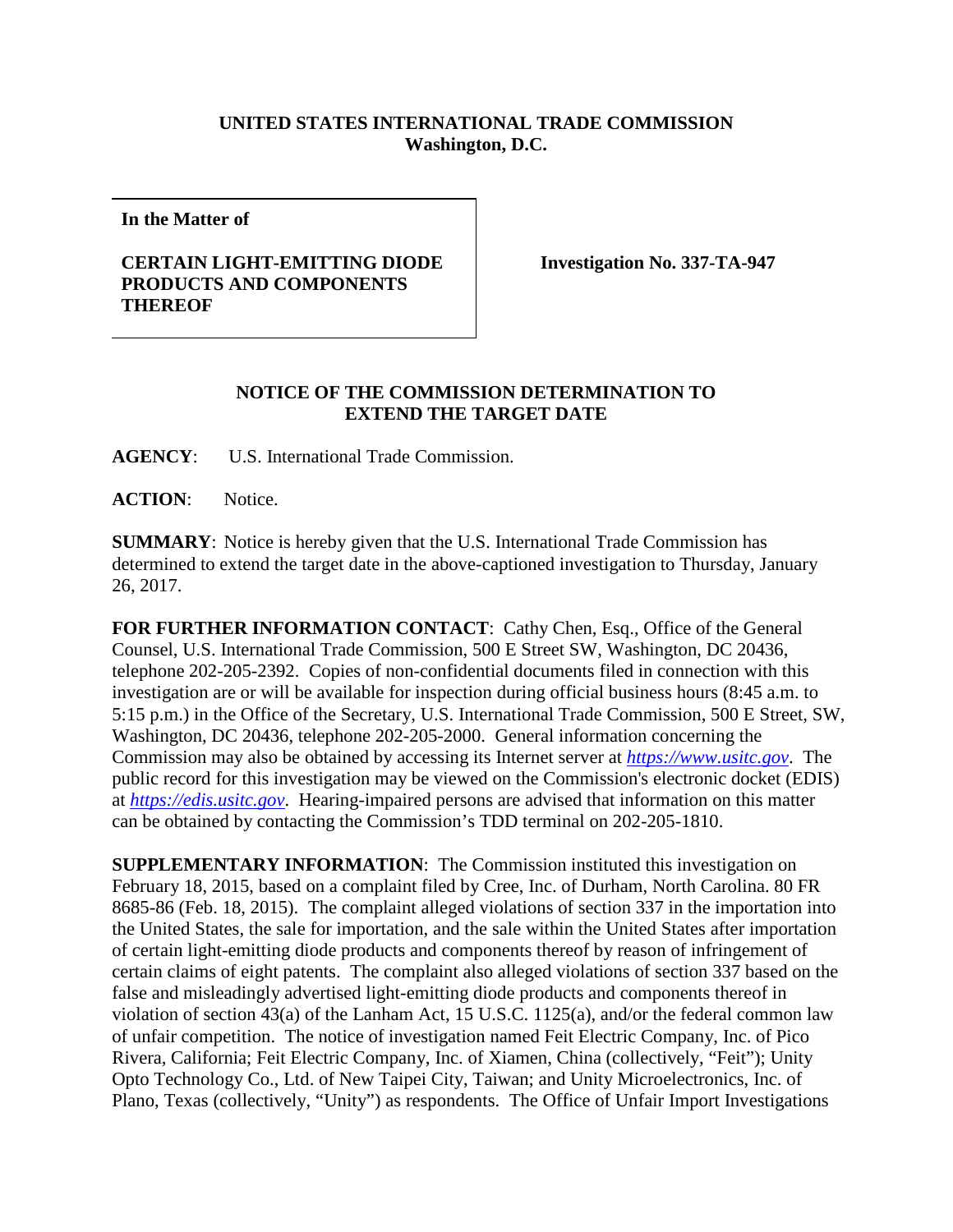## **UNITED STATES INTERNATIONAL TRADE COMMISSION Washington, D.C.**

**In the Matter of**

## **CERTAIN LIGHT-EMITTING DIODE PRODUCTS AND COMPONENTS THEREOF**

**Investigation No. 337-TA-947**

## **NOTICE OF THE COMMISSION DETERMINATION TO EXTEND THE TARGET DATE**

**AGENCY**: U.S. International Trade Commission.

**ACTION**: Notice.

**SUMMARY**: Notice is hereby given that the U.S. International Trade Commission has determined to extend the target date in the above-captioned investigation to Thursday, January 26, 2017.

FOR FURTHER INFORMATION CONTACT: Cathy Chen, Esq., Office of the General Counsel, U.S. International Trade Commission, 500 E Street SW, Washington, DC 20436, telephone 202-205-2392. Copies of non-confidential documents filed in connection with this investigation are or will be available for inspection during official business hours (8:45 a.m. to 5:15 p.m.) in the Office of the Secretary, U.S. International Trade Commission, 500 E Street, SW, Washington, DC 20436, telephone 202-205-2000. General information concerning the Commission may also be obtained by accessing its Internet server at *[https://www.usitc.gov](https://www.usitc.gov/)*. The public record for this investigation may be viewed on the Commission's electronic docket (EDIS) at *[https://edis.usitc.gov](https://edis.usitc.gov/)*. Hearing-impaired persons are advised that information on this matter can be obtained by contacting the Commission's TDD terminal on 202-205-1810.

**SUPPLEMENTARY INFORMATION**: The Commission instituted this investigation on February 18, 2015, based on a complaint filed by Cree, Inc. of Durham, North Carolina. 80 FR 8685-86 (Feb. 18, 2015). The complaint alleged violations of section 337 in the importation into the United States, the sale for importation, and the sale within the United States after importation of certain light-emitting diode products and components thereof by reason of infringement of certain claims of eight patents. The complaint also alleged violations of section 337 based on the false and misleadingly advertised light-emitting diode products and components thereof in violation of section 43(a) of the Lanham Act, 15 U.S.C. 1125(a), and/or the federal common law of unfair competition. The notice of investigation named Feit Electric Company, Inc. of Pico Rivera, California; Feit Electric Company, Inc. of Xiamen, China (collectively, "Feit"); Unity Opto Technology Co., Ltd. of New Taipei City, Taiwan; and Unity Microelectronics, Inc. of Plano, Texas (collectively, "Unity") as respondents. The Office of Unfair Import Investigations